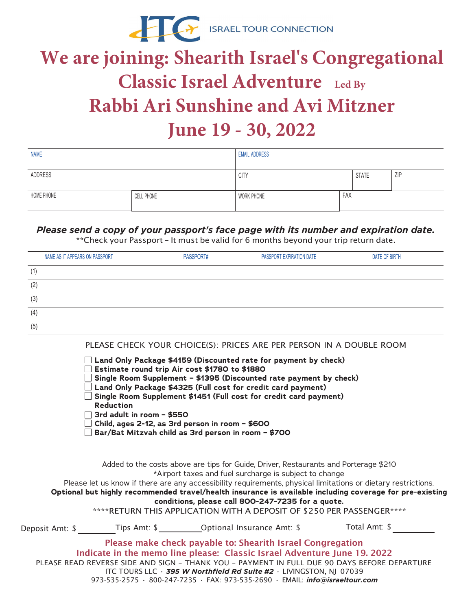

## **We are joining: Shearith Israel's Congregational Classic Israel Adventure Led By Rabbi Ari Sunshine and Avi Mitzner June 19 - 30, 2022**

| <b>NAME</b> |            | <b>EMAIL ADDRESS</b> |     |              |            |
|-------------|------------|----------------------|-----|--------------|------------|
|             |            |                      |     |              |            |
| ADDRESS     |            | <b>CITY</b>          |     | <b>STATE</b> | <b>ZIP</b> |
|             |            |                      |     |              |            |
| HOME PHONE  | CELL PHONE | WORK PHONE           | FAX |              |            |
|             |            |                      |     |              |            |

## *Please send a copy of your passport's face page with its number and expiration date.*

\*\*Check your Passport – It must be valid for 6 months beyond your trip return date.

| NAME AS IT APPEARS ON PASSPORT | PASSPORT# | PASSPORT EXPIRATION DATE | DATE OF BIRTH |
|--------------------------------|-----------|--------------------------|---------------|
| (1)                            |           |                          |               |
| (2)                            |           |                          |               |
| (3)                            |           |                          |               |
| (4)                            |           |                          |               |
| (5)                            |           |                          |               |

PLEASE CHECK YOUR CHOICE(S): PRICES ARE PER PERSON IN A DOUBLE ROOM

**Land Only Package \$4159 (Discounted rate for payment by check)** 

- **Estimate round trip Air cost \$1780 to \$1880**
- **Single Room Supplement \$1395 (Discounted rate payment by check)**
- **Land Only Package \$4325 (Full cost for credit card payment)**
- **Single Room Supplement \$1451 (Full cost for credit card payment)**
- **Reduction**
- **3rd adult in room \$550**

**Child, ages 2-12, as 3rd person in room – \$600**

**Bar/Bat Mitzvah child as 3rd person in room – \$700**

Added to the costs above are tips for Guide, Driver, Restaurants and Porterage \$210 \*Airport taxes and fuel surcharge is subject to change

Please let us know if there are any accessibility requirements, physical limitations or dietary restrictions. **Optional but highly recommended travel/health insurance is available including coverage for pre-existing**

**conditions, please call 800-247-7235 for a quote.**

\*\*\*\*RETURN THIS APPLICATION WITH A DEPOSIT OF \$250 PER PASSENGER\*\*\*\*  $Tine$  Amt:  $\phi$  Optional Insurance Amt:  $\phi$  Total Amt:  $\phi$ 

| Deposit Amt: 5 | IIDS HIII. | <b>Optional Insurance Amil.</b> S                                                            | TULAI AIIIL.J |
|----------------|------------|----------------------------------------------------------------------------------------------|---------------|
|                |            | Please make check payable to: Shearith Israel Congregation                                   |               |
|                |            | Indicate in the memo line please: Classic Israel Adventure June 19, 2022                     |               |
|                |            | PLEASE READ REVERSE SIDE AND SIGN - THANK YOU - PAYMENT IN FULL DUE 90 DAYS BEFORE DEPARTURE |               |
|                |            | ITC TOURS LLC $\cdot$ 395 W Northfield Rd Suite #2 $\cdot$ LIVINGSTON, NJ 07039              |               |
|                |            | 973-535-2575 · 800-247-7235 · FAX: 973-535-2690 · EMAIL: info@israeltour.com                 |               |
|                |            |                                                                                              |               |